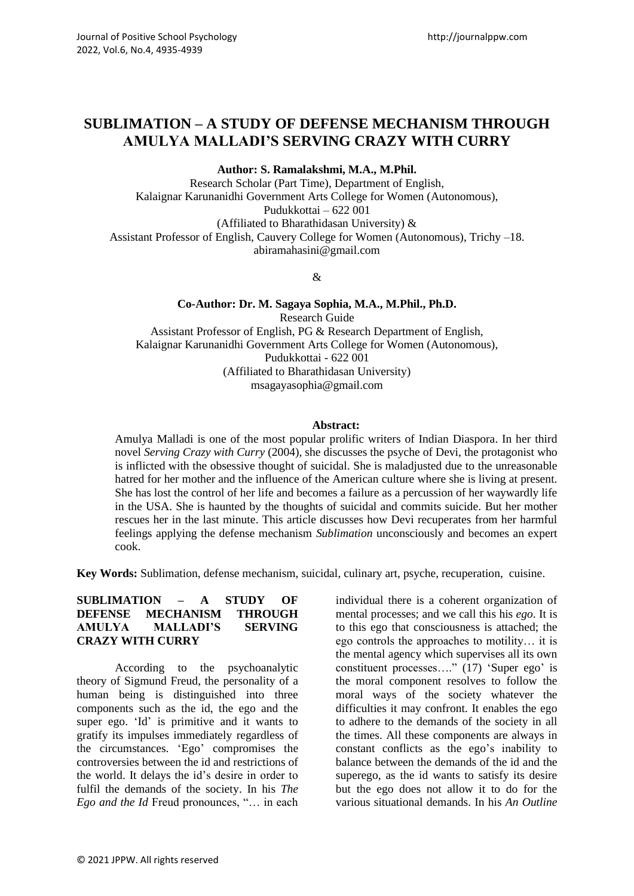# **SUBLIMATION – A STUDY OF DEFENSE MECHANISM THROUGH AMULYA MALLADI'S SERVING CRAZY WITH CURRY**

**Author: S. Ramalakshmi, M.A., M.Phil.**

Research Scholar (Part Time), Department of English, Kalaignar Karunanidhi Government Arts College for Women (Autonomous), Pudukkottai – 622 001 (Affiliated to Bharathidasan University) & Assistant Professor of English, Cauvery College for Women (Autonomous), Trichy –18. [abiramahasini@gmail.com](mailto:abiramahasini@gmail.com)

&

**Co-Author: Dr. M. Sagaya Sophia, M.A., M.Phil., Ph.D.** Research Guide Assistant Professor of English, PG & Research Department of English, Kalaignar Karunanidhi Government Arts College for Women (Autonomous), Pudukkottai - 622 001 (Affiliated to Bharathidasan University) [msagayasophia@gmail.com](mailto:msagayasophia@gmail.com)

#### **Abstract:**

Amulya Malladi is one of the most popular prolific writers of Indian Diaspora. In her third novel *Serving Crazy with Curry* (2004)*,* she discusses the psyche of Devi, the protagonist who is inflicted with the obsessive thought of suicidal. She is maladjusted due to the unreasonable hatred for her mother and the influence of the American culture where she is living at present. She has lost the control of her life and becomes a failure as a percussion of her waywardly life in the USA. She is haunted by the thoughts of suicidal and commits suicide. But her mother rescues her in the last minute. This article discusses how Devi recuperates from her harmful feelings applying the defense mechanism *Sublimation* unconsciously and becomes an expert cook.

**Key Words:** Sublimation, defense mechanism, suicidal, culinary art, psyche, recuperation, cuisine.

#### **SUBLIMATION – A STUDY OF DEFENSE MECHANISM THROUGH AMULYA MALLADI'S SERVING CRAZY WITH CURRY**

According to the psychoanalytic theory of Sigmund Freud, the personality of a human being is distinguished into three components such as the id, the ego and the super ego. 'Id' is primitive and it wants to gratify its impulses immediately regardless of the circumstances. 'Ego' compromises the controversies between the id and restrictions of the world. It delays the id's desire in order to fulfil the demands of the society. In his *The Ego and the Id* Freud pronounces, "… in each individual there is a coherent organization of mental processes; and we call this his *ego*. It is to this ego that consciousness is attached; the ego controls the approaches to motility… it is the mental agency which supervises all its own constituent processes…." (17) 'Super ego' is the moral component resolves to follow the moral ways of the society whatever the difficulties it may confront. It enables the ego to adhere to the demands of the society in all the times. All these components are always in constant conflicts as the ego's inability to balance between the demands of the id and the superego, as the id wants to satisfy its desire but the ego does not allow it to do for the various situational demands. In his *An Outline*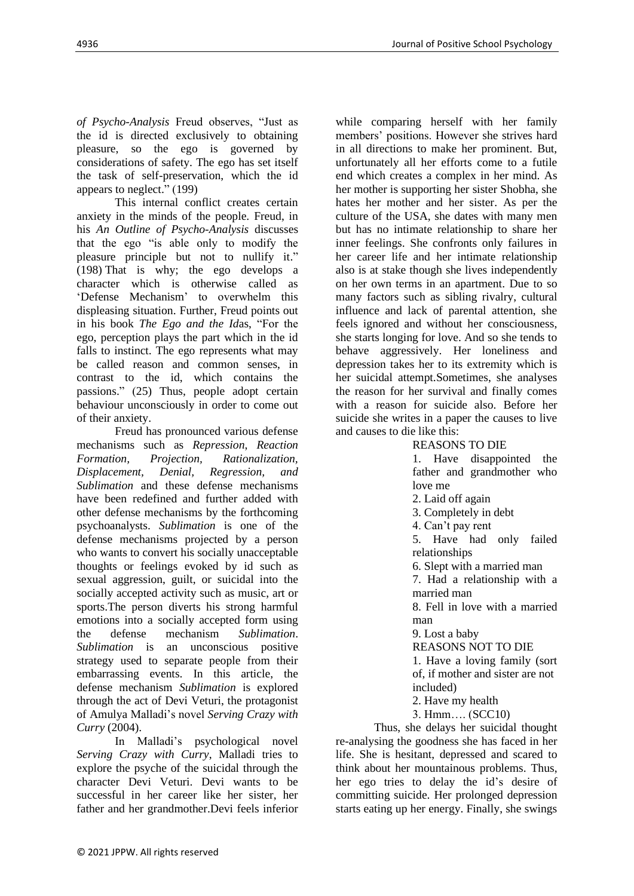*of Psycho-Analysis* Freud observes, "Just as the id is directed exclusively to obtaining pleasure, so the ego is governed by considerations of safety. The ego has set itself the task of self-preservation, which the id appears to neglect." (199)

This internal conflict creates certain anxiety in the minds of the people. Freud, in his *An Outline of Psycho-Analysis* discusses that the ego "is able only to modify the pleasure principle but not to nullify it." (198) That is why; the ego develops a character which is otherwise called as 'Defense Mechanism' to overwhelm this displeasing situation. Further, Freud points out in his book *The Ego and the Id*as, "For the ego, perception plays the part which in the id falls to instinct. The ego represents what may be called reason and common senses, in contrast to the id, which contains the passions." (25) Thus, people adopt certain behaviour unconsciously in order to come out of their anxiety.

Freud has pronounced various defense mechanisms such as *Repression*, *Reaction Formation, Projection, Rationalization, Displacement, Denial, Regression, and Sublimation* and these defense mechanisms have been redefined and further added with other defense mechanisms by the forthcoming psychoanalysts. *Sublimation* is one of the defense mechanisms projected by a person who wants to convert his socially unacceptable thoughts or feelings evoked by id such as sexual aggression, guilt, or suicidal into the socially accepted activity such as music, art or sports.The person diverts his strong harmful emotions into a socially accepted form using the defense mechanism *Sublimation*. *Sublimation* is an unconscious positive strategy used to separate people from their embarrassing events. In this article, the defense mechanism *Sublimation* is explored through the act of Devi Veturi, the protagonist of Amulya Malladi's novel *Serving Crazy with Curry* (2004).

In Malladi's psychological novel *Serving Crazy with Curry*, Malladi tries to explore the psyche of the suicidal through the character Devi Veturi. Devi wants to be successful in her career like her sister, her father and her grandmother.Devi feels inferior

while comparing herself with her family members' positions. However she strives hard in all directions to make her prominent. But, unfortunately all her efforts come to a futile end which creates a complex in her mind. As her mother is supporting her sister Shobha, she hates her mother and her sister. As per the culture of the USA, she dates with many men but has no intimate relationship to share her inner feelings. She confronts only failures in her career life and her intimate relationship also is at stake though she lives independently on her own terms in an apartment. Due to so many factors such as sibling rivalry, cultural influence and lack of parental attention, she feels ignored and without her consciousness, she starts longing for love. And so she tends to behave aggressively. Her loneliness and depression takes her to its extremity which is her suicidal attempt.Sometimes, she analyses the reason for her survival and finally comes with a reason for suicide also. Before her suicide she writes in a paper the causes to live and causes to die like this:

### REASONS TO DIE

1. Have disappointed the father and grandmother who love me

2. Laid off again

3. Completely in debt

4. Can't pay rent

5. Have had only failed relationships

6. Slept with a married man

7. Had a relationship with a married man

8. Fell in love with a married man

9. Lost a baby

REASONS NOT TO DIE

1. Have a loving family (sort of, if mother and sister are not included)

2. Have my health

3. Hmm…. (SCC10)

Thus, she delays her suicidal thought re-analysing the goodness she has faced in her life. She is hesitant, depressed and scared to think about her mountainous problems. Thus, her ego tries to delay the id's desire of committing suicide. Her prolonged depression starts eating up her energy. Finally, she swings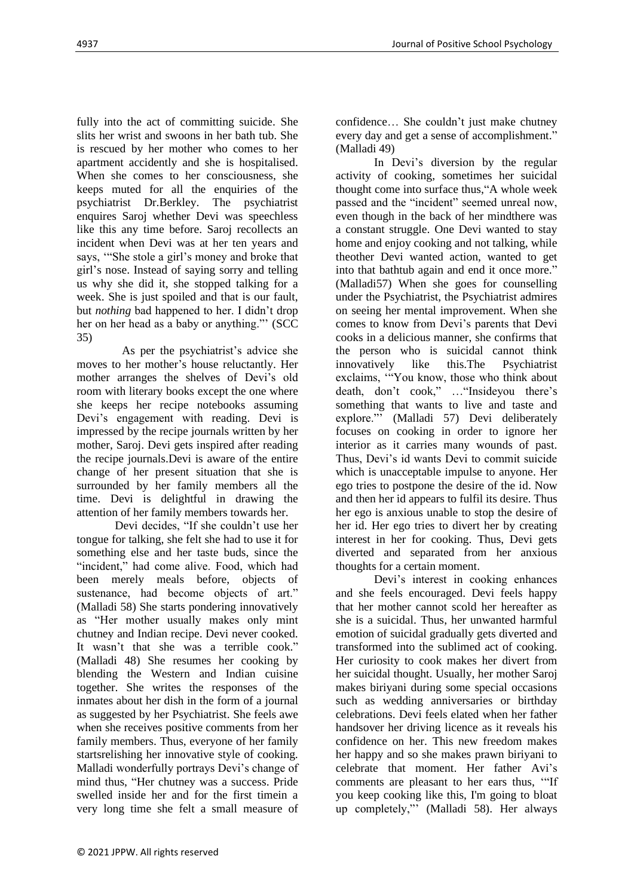fully into the act of committing suicide. She slits her wrist and swoons in her bath tub. She is rescued by her mother who comes to her apartment accidently and she is hospitalised. When she comes to her consciousness, she keeps muted for all the enquiries of the psychiatrist Dr.Berkley. The psychiatrist enquires Saroj whether Devi was speechless like this any time before. Saroj recollects an incident when Devi was at her ten years and says, '"She stole a girl's money and broke that girl's nose. Instead of saying sorry and telling us why she did it, she stopped talking for a week. She is just spoiled and that is our fault, but *nothing* bad happened to her. I didn't drop her on her head as a baby or anything."' (SCC 35)

As per the psychiatrist's advice she moves to her mother's house reluctantly. Her mother arranges the shelves of Devi's old room with literary books except the one where she keeps her recipe notebooks assuming Devi's engagement with reading. Devi is impressed by the recipe journals written by her mother, Saroj. Devi gets inspired after reading the recipe journals.Devi is aware of the entire change of her present situation that she is surrounded by her family members all the time. Devi is delightful in drawing the attention of her family members towards her.

Devi decides, "If she couldn't use her tongue for talking, she felt she had to use it for something else and her taste buds, since the "incident," had come alive. Food, which had been merely meals before, objects of sustenance, had become objects of art." (Malladi 58) She starts pondering innovatively as "Her mother usually makes only mint chutney and Indian recipe. Devi never cooked. It wasn't that she was a terrible cook." (Malladi 48) She resumes her cooking by blending the Western and Indian cuisine together. She writes the responses of the inmates about her dish in the form of a journal as suggested by her Psychiatrist. She feels awe when she receives positive comments from her family members. Thus, everyone of her family startsrelishing her innovative style of cooking. Malladi wonderfully portrays Devi's change of mind thus, "Her chutney was a success. Pride swelled inside her and for the first timein a very long time she felt a small measure of confidence… She couldn't just make chutney every day and get a sense of accomplishment." (Malladi 49)

In Devi's diversion by the regular activity of cooking, sometimes her suicidal thought come into surface thus,"A whole week passed and the "incident" seemed unreal now, even though in the back of her mindthere was a constant struggle. One Devi wanted to stay home and enjoy cooking and not talking, while theother Devi wanted action, wanted to get into that bathtub again and end it once more." (Malladi57) When she goes for counselling under the Psychiatrist, the Psychiatrist admires on seeing her mental improvement. When she comes to know from Devi's parents that Devi cooks in a delicious manner, she confirms that the person who is suicidal cannot think innovatively like this.The Psychiatrist exclaims, '"You know, those who think about death, don't cook," …"Insideyou there's something that wants to live and taste and explore."' (Malladi 57) Devi deliberately focuses on cooking in order to ignore her interior as it carries many wounds of past. Thus, Devi's id wants Devi to commit suicide which is unacceptable impulse to anyone. Her ego tries to postpone the desire of the id. Now and then her id appears to fulfil its desire. Thus her ego is anxious unable to stop the desire of her id. Her ego tries to divert her by creating interest in her for cooking. Thus, Devi gets diverted and separated from her anxious thoughts for a certain moment.

Devi's interest in cooking enhances and she feels encouraged. Devi feels happy that her mother cannot scold her hereafter as she is a suicidal. Thus, her unwanted harmful emotion of suicidal gradually gets diverted and transformed into the sublimed act of cooking. Her curiosity to cook makes her divert from her suicidal thought. Usually, her mother Saroj makes biriyani during some special occasions such as wedding anniversaries or birthday celebrations. Devi feels elated when her father handsover her driving licence as it reveals his confidence on her. This new freedom makes her happy and so she makes prawn biriyani to celebrate that moment. Her father Avi's comments are pleasant to her ears thus, '"If you keep cooking like this, I'm going to bloat up completely,"' (Malladi 58). Her always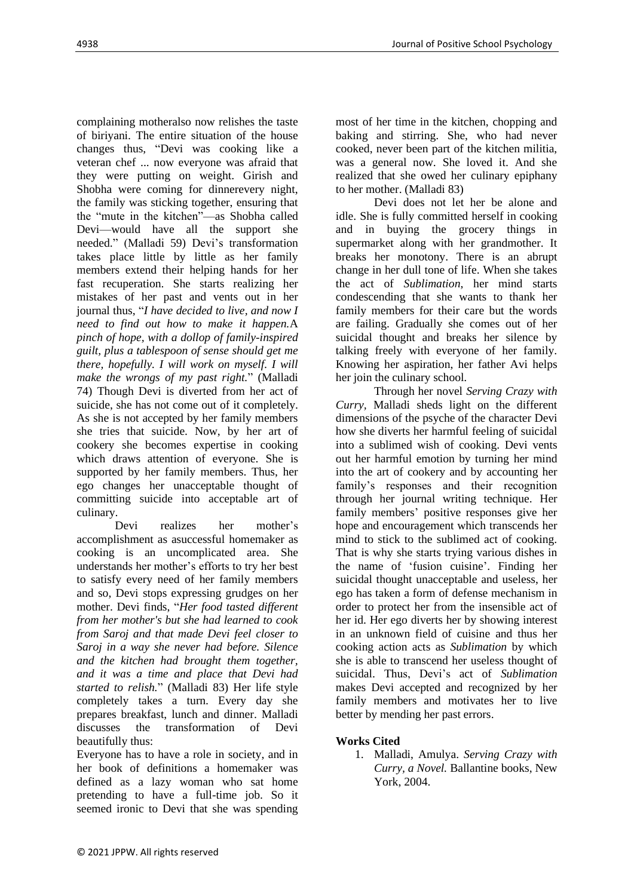complaining motheralso now relishes the taste of biriyani. The entire situation of the house changes thus, "Devi was cooking like a veteran chef ... now everyone was afraid that they were putting on weight. Girish and Shobha were coming for dinnerevery night, the family was sticking together, ensuring that the "mute in the kitchen"—as Shobha called Devi—would have all the support she needed." (Malladi 59) Devi's transformation takes place little by little as her family members extend their helping hands for her fast recuperation. She starts realizing her mistakes of her past and vents out in her journal thus, "*I have decided to live, and now I need to find out how to make it happen.*A *pinch of hope, with a dollop of family-inspired guilt, plus a tablespoon of sense should get me there, hopefully. I will work on myself. I will make the wrongs of my past right.*" (Malladi 74) Though Devi is diverted from her act of suicide, she has not come out of it completely. As she is not accepted by her family members she tries that suicide. Now, by her art of cookery she becomes expertise in cooking which draws attention of everyone. She is supported by her family members. Thus, her ego changes her unacceptable thought of committing suicide into acceptable art of culinary.

Devi realizes her mother's accomplishment as asuccessful homemaker as cooking is an uncomplicated area. She understands her mother's efforts to try her best to satisfy every need of her family members and so, Devi stops expressing grudges on her mother. Devi finds, "*Her food tasted different from her mother's but she had learned to cook from Saroj and that made Devi feel closer to Saroj in a way she never had before. Silence and the kitchen had brought them together, and it was a time and place that Devi had started to relish.*" (Malladi 83) Her life style completely takes a turn. Every day she prepares breakfast, lunch and dinner. Malladi discusses the transformation of Devi beautifully thus:

Everyone has to have a role in society, and in her book of definitions a homemaker was defined as a lazy woman who sat home pretending to have a full-time job. So it seemed ironic to Devi that she was spending

most of her time in the kitchen, chopping and baking and stirring. She, who had never cooked, never been part of the kitchen militia, was a general now. She loved it. And she realized that she owed her culinary epiphany to her mother. (Malladi 83)

Devi does not let her be alone and idle. She is fully committed herself in cooking and in buying the grocery things in supermarket along with her grandmother. It breaks her monotony. There is an abrupt change in her dull tone of life. When she takes the act of *Sublimation*, her mind starts condescending that she wants to thank her family members for their care but the words are failing. Gradually she comes out of her suicidal thought and breaks her silence by talking freely with everyone of her family. Knowing her aspiration, her father Avi helps her join the culinary school.

Through her novel *Serving Crazy with Curry,* Malladi sheds light on the different dimensions of the psyche of the character Devi how she diverts her harmful feeling of suicidal into a sublimed wish of cooking. Devi vents out her harmful emotion by turning her mind into the art of cookery and by accounting her family's responses and their recognition through her journal writing technique. Her family members' positive responses give her hope and encouragement which transcends her mind to stick to the sublimed act of cooking. That is why she starts trying various dishes in the name of 'fusion cuisine'. Finding her suicidal thought unacceptable and useless, her ego has taken a form of defense mechanism in order to protect her from the insensible act of her id. Her ego diverts her by showing interest in an unknown field of cuisine and thus her cooking action acts as *Sublimation* by which she is able to transcend her useless thought of suicidal. Thus, Devi's act of *Sublimation* makes Devi accepted and recognized by her family members and motivates her to live better by mending her past errors.

## **Works Cited**

1. Malladi, Amulya. *Serving Crazy with Curry, a Novel.* Ballantine books, New York, 2004.